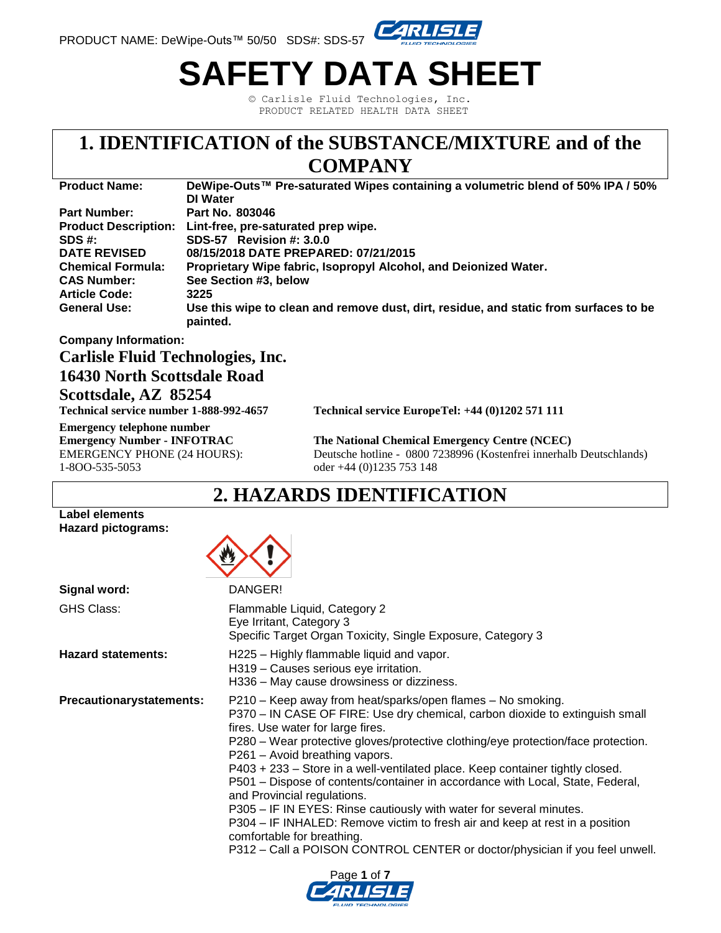

# **SAFETY DATA SHEET**

© Carlisle Fluid Technologies, Inc. PRODUCT RELATED HEALTH DATA SHEET

# **1. IDENTIFICATION of the SUBSTANCE/MIXTURE and of the**

### **COMPANY**

| <b>Product Name:</b>        | DeWipe-Outs™ Pre-saturated Wipes containing a volumetric blend of 50% IPA / 50%                   |
|-----------------------------|---------------------------------------------------------------------------------------------------|
|                             | <b>DI</b> Water                                                                                   |
| <b>Part Number:</b>         | Part No. 803046                                                                                   |
| <b>Product Description:</b> | Lint-free, pre-saturated prep wipe.                                                               |
| SDS #:                      | SDS-57 Revision #: 3.0.0                                                                          |
| <b>DATE REVISED</b>         | 08/15/2018 DATE PREPARED: 07/21/2015                                                              |
| <b>Chemical Formula:</b>    | Proprietary Wipe fabric, Isopropyl Alcohol, and Deionized Water.                                  |
| <b>CAS Number:</b>          | See Section #3, below                                                                             |
| <b>Article Code:</b>        | 3225                                                                                              |
| <b>General Use:</b>         | Use this wipe to clean and remove dust, dirt, residue, and static from surfaces to be<br>painted. |

### **Company Information:**

### **Carlisle Fluid Technologies, Inc.**

### **16430 North Scottsdale Road**

#### **Scottsdale, AZ 85254**

**Emergency telephone number** 1-8OO-535-5053 oder +44 (0)1235 753 148

**Technical service number 1-888-992-4657 Technical service EuropeTel: +44 (0)1202 571 111** 

**Emergency Number - INFOTRAC The National Chemical Emergency Centre (NCEC)** EMERGENCY PHONE (24 HOURS): Deutsche hotline - 0800 7238996 (Kostenfrei innerhalb Deutschlands)

### **2. HAZARDS IDENTIFICATION**

#### **Label elements Hazard pictograms:**



| Signal word:                    | DANGER!                                                                                                                                                                                                                                                                                                                                                                                                                                                                                                                                                                                                                                                                                                                                                                       |
|---------------------------------|-------------------------------------------------------------------------------------------------------------------------------------------------------------------------------------------------------------------------------------------------------------------------------------------------------------------------------------------------------------------------------------------------------------------------------------------------------------------------------------------------------------------------------------------------------------------------------------------------------------------------------------------------------------------------------------------------------------------------------------------------------------------------------|
| <b>GHS Class:</b>               | Flammable Liquid, Category 2<br>Eye Irritant, Category 3<br>Specific Target Organ Toxicity, Single Exposure, Category 3                                                                                                                                                                                                                                                                                                                                                                                                                                                                                                                                                                                                                                                       |
| <b>Hazard statements:</b>       | H225 - Highly flammable liquid and vapor.<br>H319 - Causes serious eye irritation.<br>H336 – May cause drowsiness or dizziness.                                                                                                                                                                                                                                                                                                                                                                                                                                                                                                                                                                                                                                               |
| <b>Precautionarystatements:</b> | P210 – Keep away from heat/sparks/open flames – No smoking.<br>P370 - IN CASE OF FIRE: Use dry chemical, carbon dioxide to extinguish small<br>fires. Use water for large fires.<br>P280 – Wear protective gloves/protective clothing/eye protection/face protection.<br>P261 - Avoid breathing vapors.<br>P403 + 233 - Store in a well-ventilated place. Keep container tightly closed.<br>P501 - Dispose of contents/container in accordance with Local, State, Federal,<br>and Provincial regulations.<br>P305 – IF IN EYES: Rinse cautiously with water for several minutes.<br>P304 - IF INHALED: Remove victim to fresh air and keep at rest in a position<br>comfortable for breathing.<br>P312 - Call a POISON CONTROL CENTER or doctor/physician if you feel unwell. |

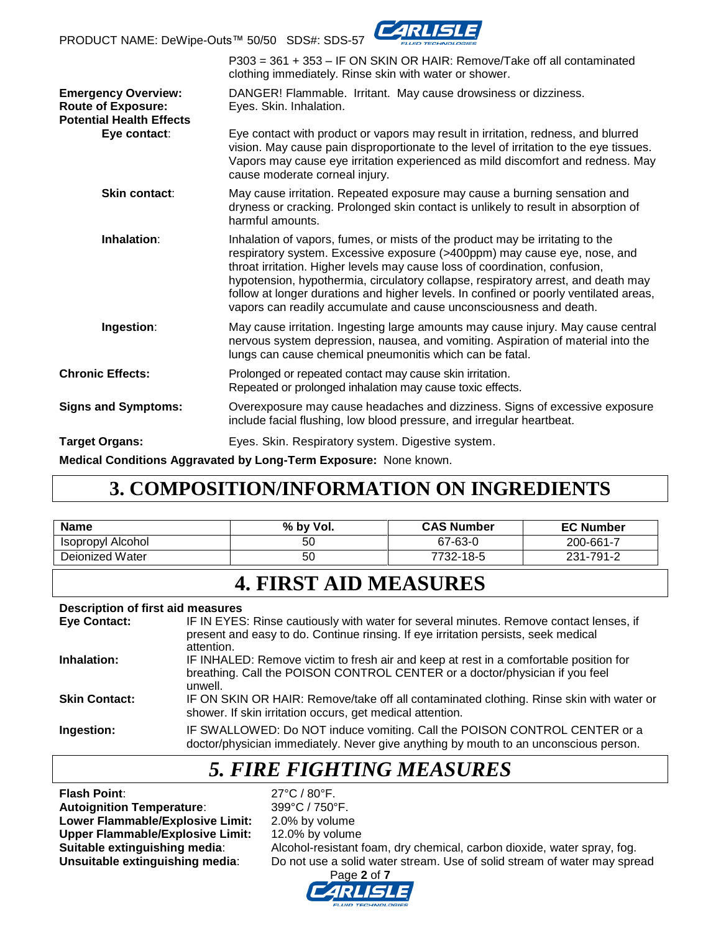PRODUCT NAME: DeWipe-Outs™ 50/50 SDS#: SDS-57



|                                                                                            | P303 = 361 + 353 - IF ON SKIN OR HAIR: Remove/Take off all contaminated<br>clothing immediately. Rinse skin with water or shower.                                                                                                                                                                                                                                                                                                                                                             |
|--------------------------------------------------------------------------------------------|-----------------------------------------------------------------------------------------------------------------------------------------------------------------------------------------------------------------------------------------------------------------------------------------------------------------------------------------------------------------------------------------------------------------------------------------------------------------------------------------------|
| <b>Emergency Overview:</b><br><b>Route of Exposure:</b><br><b>Potential Health Effects</b> | DANGER! Flammable. Irritant. May cause drowsiness or dizziness.<br>Eyes. Skin. Inhalation.                                                                                                                                                                                                                                                                                                                                                                                                    |
| Eye contact:                                                                               | Eye contact with product or vapors may result in irritation, redness, and blurred<br>vision. May cause pain disproportionate to the level of irritation to the eye tissues.<br>Vapors may cause eye irritation experienced as mild discomfort and redness. May<br>cause moderate corneal injury.                                                                                                                                                                                              |
| Skin contact:                                                                              | May cause irritation. Repeated exposure may cause a burning sensation and<br>dryness or cracking. Prolonged skin contact is unlikely to result in absorption of<br>harmful amounts.                                                                                                                                                                                                                                                                                                           |
| Inhalation:                                                                                | Inhalation of vapors, fumes, or mists of the product may be irritating to the<br>respiratory system. Excessive exposure (>400ppm) may cause eye, nose, and<br>throat irritation. Higher levels may cause loss of coordination, confusion,<br>hypotension, hypothermia, circulatory collapse, respiratory arrest, and death may<br>follow at longer durations and higher levels. In confined or poorly ventilated areas,<br>vapors can readily accumulate and cause unconsciousness and death. |
| Ingestion:                                                                                 | May cause irritation. Ingesting large amounts may cause injury. May cause central<br>nervous system depression, nausea, and vomiting. Aspiration of material into the<br>lungs can cause chemical pneumonitis which can be fatal.                                                                                                                                                                                                                                                             |
| <b>Chronic Effects:</b>                                                                    | Prolonged or repeated contact may cause skin irritation.<br>Repeated or prolonged inhalation may cause toxic effects.                                                                                                                                                                                                                                                                                                                                                                         |
| <b>Signs and Symptoms:</b>                                                                 | Overexposure may cause headaches and dizziness. Signs of excessive exposure<br>include facial flushing, low blood pressure, and irregular heartbeat.                                                                                                                                                                                                                                                                                                                                          |
| <b>Target Organs:</b>                                                                      | Eyes. Skin. Respiratory system. Digestive system.                                                                                                                                                                                                                                                                                                                                                                                                                                             |
|                                                                                            | Medical Conditions Aggravated by Long-Term Exposure: None known.                                                                                                                                                                                                                                                                                                                                                                                                                              |

### **3. COMPOSITION/INFORMATION ON INGREDIENTS**

| <b>Name</b>       | % by Vol. | <b>CAS Number</b> | <b>EC Number</b> |
|-------------------|-----------|-------------------|------------------|
| Isopropyl Alcohol | 50        | 67-63-0           | 200-661-7        |
| Deionized Water   | 50        | 7732-18-5         | 231-791-2        |

### **4. FIRST AID MEASURES**

#### **Description of first aid measures**

| <b>Eye Contact:</b>  | IF IN EYES: Rinse cautiously with water for several minutes. Remove contact lenses, if<br>present and easy to do. Continue rinsing. If eye irritation persists, seek medical<br>attention. |
|----------------------|--------------------------------------------------------------------------------------------------------------------------------------------------------------------------------------------|
| Inhalation:          | IF INHALED: Remove victim to fresh air and keep at rest in a comfortable position for<br>breathing. Call the POISON CONTROL CENTER or a doctor/physician if you feel<br>unwell.            |
| <b>Skin Contact:</b> | IF ON SKIN OR HAIR: Remove/take off all contaminated clothing. Rinse skin with water or<br>shower. If skin irritation occurs, get medical attention.                                       |
| Ingestion:           | IF SWALLOWED: Do NOT induce vomiting. Call the POISON CONTROL CENTER or a<br>doctor/physician immediately. Never give anything by mouth to an unconscious person.                          |

### *5. FIRE FIGHTING MEASURES*

**Flash Point:** 27°C / 80°F.<br> **Autoignition Temperature:** 299°C / 750°F. **Autoignition Temperature:** Lower Flammable/Explosive Limit: 2.0% by volume **Upper Flammable/Explosive Limit:** 12.0% by volume

**Suitable extinguishing media:** Alcohol-resistant foam, dry chemical, carbon dioxide, water spray, fog.<br>**Unsuitable extinguishing media**: Do not use a solid water stream. Use of solid stream of water may spre Do not use a solid water stream. Use of solid stream of water may spread

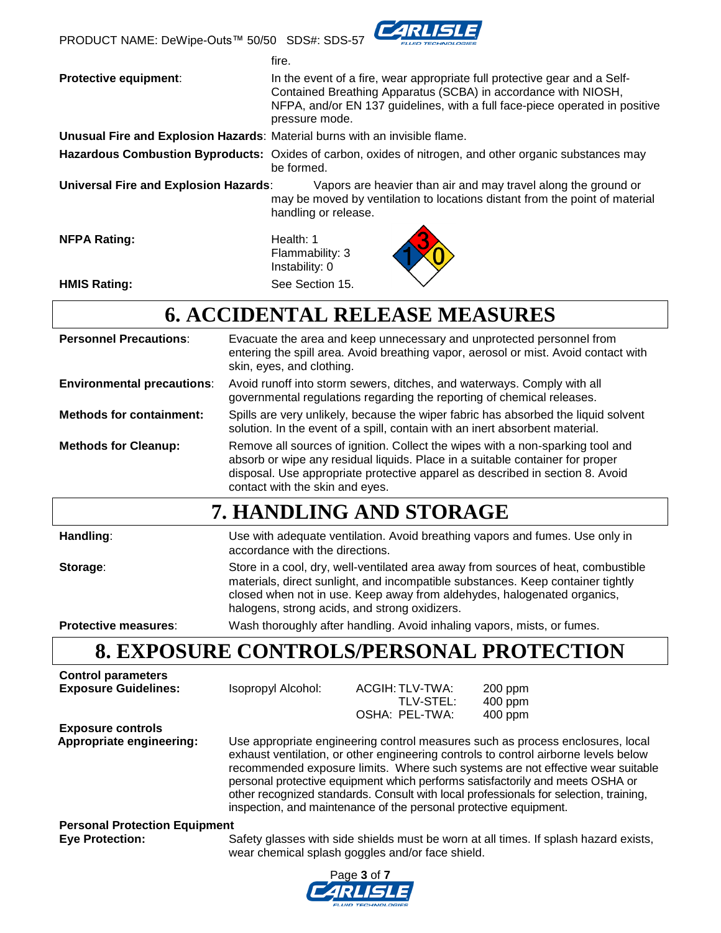PRODUCT NAME: DeWipe-Outs™ 50/50 SDS#: SDS-57



|                                                                             | fire.                                                                                                                                                                                                                                        |
|-----------------------------------------------------------------------------|----------------------------------------------------------------------------------------------------------------------------------------------------------------------------------------------------------------------------------------------|
| <b>Protective equipment:</b>                                                | In the event of a fire, wear appropriate full protective gear and a Self-<br>Contained Breathing Apparatus (SCBA) in accordance with NIOSH,<br>NFPA, and/or EN 137 guidelines, with a full face-piece operated in positive<br>pressure mode. |
| Unusual Fire and Explosion Hazards: Material burns with an invisible flame. |                                                                                                                                                                                                                                              |

be formed.

**Hazardous Combustion Byproducts:** Oxides of carbon, oxides of nitrogen, and other organic substances may

**Universal Fire and Explosion Hazards**: Vapors are heavier than air and may travel along the ground or may be moved by ventilation to locations distant from the point of material handling or release.

**NFPA Rating:** Health: 1

Flammability: 3 Instability: 0 **HMIS Rating:** See Section 15.



# **6. ACCIDENTAL RELEASE MEASURES**

| <b>Personnel Precautions:</b>     | Evacuate the area and keep unnecessary and unprotected personnel from<br>entering the spill area. Avoid breathing vapor, aerosol or mist. Avoid contact with<br>skin, eyes, and clothing.                                                                                                        |
|-----------------------------------|--------------------------------------------------------------------------------------------------------------------------------------------------------------------------------------------------------------------------------------------------------------------------------------------------|
| <b>Environmental precautions:</b> | Avoid runoff into storm sewers, ditches, and waterways. Comply with all<br>governmental regulations regarding the reporting of chemical releases.                                                                                                                                                |
| <b>Methods for containment:</b>   | Spills are very unlikely, because the wiper fabric has absorbed the liquid solvent<br>solution. In the event of a spill, contain with an inert absorbent material.                                                                                                                               |
| <b>Methods for Cleanup:</b>       | Remove all sources of ignition. Collect the wipes with a non-sparking tool and<br>absorb or wipe any residual liquids. Place in a suitable container for proper<br>disposal. Use appropriate protective apparel as described in section 8. Avoid<br>contact with the skin and eyes.              |
|                                   | 7. HANDLING AND STORAGE                                                                                                                                                                                                                                                                          |
| Handling:                         | Use with adequate ventilation. Avoid breathing vapors and fumes. Use only in<br>accordance with the directions.                                                                                                                                                                                  |
| Storage:                          | Store in a cool, dry, well-ventilated area away from sources of heat, combustible<br>materials, direct sunlight, and incompatible substances. Keep container tightly<br>closed when not in use. Keep away from aldehydes, halogenated organics,<br>halogens, strong acids, and strong oxidizers. |

**Protective measures**: Wash thoroughly after handling. Avoid inhaling vapors, mists, or fumes.

# **8. EXPOSURE CONTROLS/PERSONAL PROTECTION**

| <b>Control parameters</b>            |                                                                                                                                                                                                                                                                                                                                                                                                                                                                                                         |                                                  |                                                                                      |
|--------------------------------------|---------------------------------------------------------------------------------------------------------------------------------------------------------------------------------------------------------------------------------------------------------------------------------------------------------------------------------------------------------------------------------------------------------------------------------------------------------------------------------------------------------|--------------------------------------------------|--------------------------------------------------------------------------------------|
| <b>Exposure Guidelines:</b>          | Isopropyl Alcohol:                                                                                                                                                                                                                                                                                                                                                                                                                                                                                      | ACGIH: TLV-TWA:                                  | $200$ ppm                                                                            |
|                                      |                                                                                                                                                                                                                                                                                                                                                                                                                                                                                                         | TLV-STEL:                                        | $400$ ppm                                                                            |
|                                      |                                                                                                                                                                                                                                                                                                                                                                                                                                                                                                         | OSHA: PEL-TWA:                                   | 400 ppm                                                                              |
| <b>Exposure controls</b>             |                                                                                                                                                                                                                                                                                                                                                                                                                                                                                                         |                                                  |                                                                                      |
| Appropriate engineering:             | Use appropriate engineering control measures such as process enclosures, local<br>exhaust ventilation, or other engineering controls to control airborne levels below<br>recommended exposure limits. Where such systems are not effective wear suitable<br>personal protective equipment which performs satisfactorily and meets OSHA or<br>other recognized standards. Consult with local professionals for selection, training,<br>inspection, and maintenance of the personal protective equipment. |                                                  |                                                                                      |
| <b>Personal Protection Equipment</b> |                                                                                                                                                                                                                                                                                                                                                                                                                                                                                                         |                                                  |                                                                                      |
| <b>Eye Protection:</b>               |                                                                                                                                                                                                                                                                                                                                                                                                                                                                                                         | wear chemical splash goggles and/or face shield. | Safety glasses with side shields must be worn at all times. If splash hazard exists, |

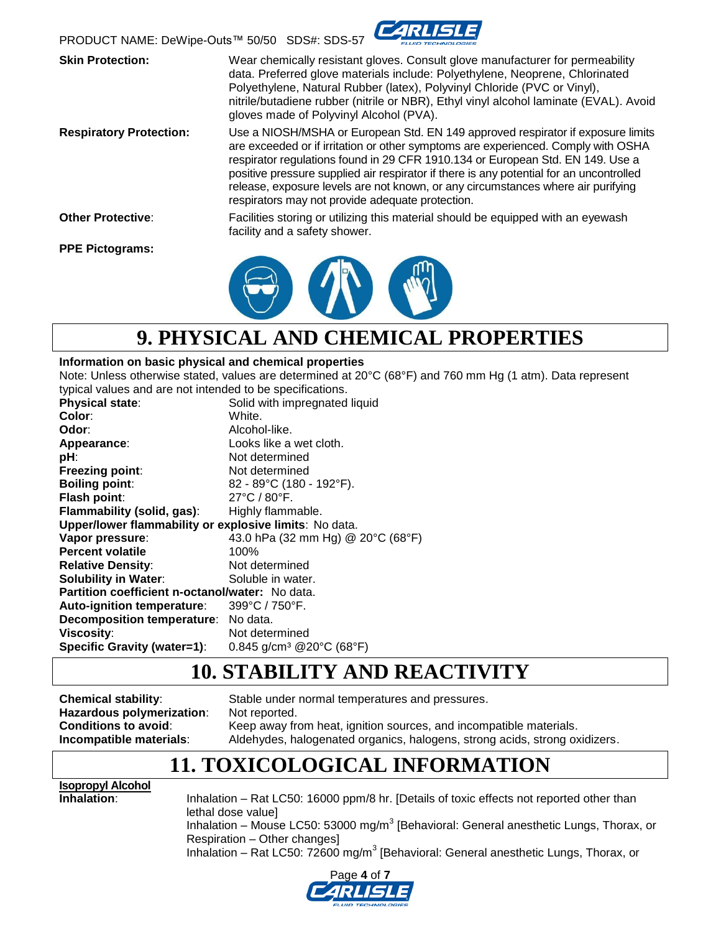

**Skin Protection:** Wear chemically resistant gloves. Consult glove manufacturer for permeability data. Preferred glove materials include: Polyethylene, Neoprene, Chlorinated Polyethylene, Natural Rubber (latex), Polyvinyl Chloride (PVC or Vinyl), nitrile/butadiene rubber (nitrile or NBR), Ethyl vinyl alcohol laminate (EVAL). Avoid gloves made of Polyvinyl Alcohol (PVA). **Respiratory Protection:** Use a NIOSH/MSHA or European Std. EN 149 approved respirator if exposure limits are exceeded or if irritation or other symptoms are experienced. Comply with OSHA respirator regulations found in 29 CFR 1910.134 or European Std. EN 149. Use a positive pressure supplied air respirator if there is any potential for an uncontrolled release, exposure levels are not known, or any circumstances where air purifying respirators may not provide adequate protection. **Other Protective**: Facilities storing or utilizing this material should be equipped with an eyewash facility and a safety shower. **PPE Pictograms:**



### **9. PHYSICAL AND CHEMICAL PROPERTIES**

#### **Information on basic physical and chemical properties**

Note: Unless otherwise stated, values are determined at 20°C (68°F) and 760 mm Hg (1 atm). Data represent typical values and are not intended to be specifications.

| ippical raided and all not interided to be opeenfoationer |                                                               |  |
|-----------------------------------------------------------|---------------------------------------------------------------|--|
| Physical state:                                           | Solid with impregnated liquid                                 |  |
| Color:                                                    | White.                                                        |  |
| Odor:                                                     | Alcohol-like.                                                 |  |
| Appearance:                                               | Looks like a wet cloth.                                       |  |
| pH:                                                       | Not determined                                                |  |
| Freezing point:                                           | Not determined                                                |  |
| <b>Boiling point:</b>                                     | 82 - 89°C (180 - 192°F).                                      |  |
| Flash point:                                              | $27^{\circ}$ C / 80 $^{\circ}$ F.                             |  |
| Flammability (solid, gas):                                | Highly flammable.                                             |  |
| Upper/lower flammability or explosive limits: No data.    |                                                               |  |
| Vapor pressure:                                           | 43.0 hPa (32 mm Hg) @ 20°C (68°F)                             |  |
| <b>Percent volatile</b>                                   | 100%                                                          |  |
| <b>Relative Density:</b>                                  | Not determined                                                |  |
| <b>Solubility in Water:</b>                               | Soluble in water.                                             |  |
| Partition coefficient n-octanol/water: No data.           |                                                               |  |
| Auto-ignition temperature:                                | $399^{\circ}$ C / 750 $^{\circ}$ F.                           |  |
| Decomposition temperature: No data.                       |                                                               |  |
| Viscosity:                                                | Not determined                                                |  |
| <b>Specific Gravity (water=1):</b>                        | $0.845$ g/cm <sup>3</sup> @ 20 $^{\circ}$ C (68 $^{\circ}$ F) |  |
|                                                           |                                                               |  |

### **10. STABILITY AND REACTIVITY**

**Chemical stability**: Stable under normal temperatures and pressures. **Hazardous polymerization**: Not reported. **Conditions to avoid:** Keep away from heat, ignition sources, and incompatible materials. **Incompatible materials**: Aldehydes, halogenated organics, halogens, strong acids, strong oxidizers.

### **11. TOXICOLOGICAL INFORMATION**

**Isopropyl Alcohol**

**Inhalation:** Inhalation – Rat LC50: 16000 ppm/8 hr. [Details of toxic effects not reported other than lethal dose value] Inhalation – Mouse LC50: 53000 mg/m<sup>3</sup> [Behavioral: General anesthetic Lungs, Thorax, or Respiration – Other changes] Inhalation - Rat LC50: 72600 mg/m<sup>3</sup> [Behavioral: General anesthetic Lungs, Thorax, or

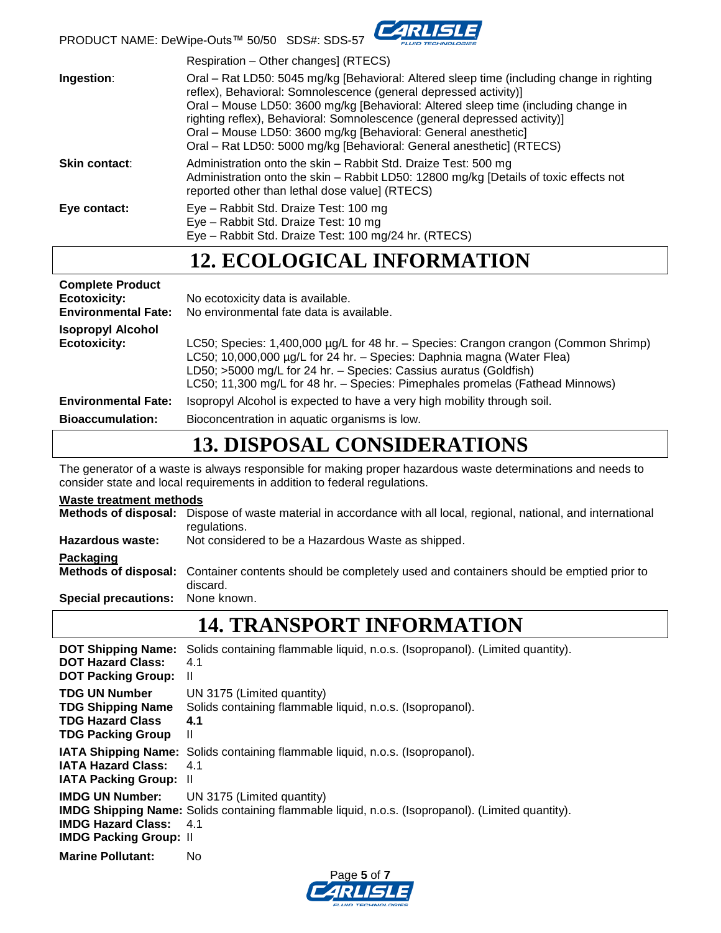

PRODUCT NAME: DeWipe-Outs™ 50/50 SDS#: SDS-57

|                      | Respiration – Other changes] (RTECS)                                                                                                                                                                                                                                                                                                                                                                                                                                       |
|----------------------|----------------------------------------------------------------------------------------------------------------------------------------------------------------------------------------------------------------------------------------------------------------------------------------------------------------------------------------------------------------------------------------------------------------------------------------------------------------------------|
| Ingestion:           | Oral – Rat LD50: 5045 mg/kg [Behavioral: Altered sleep time (including change in righting<br>reflex), Behavioral: Somnolescence (general depressed activity)]<br>Oral – Mouse LD50: 3600 mg/kg [Behavioral: Altered sleep time (including change in<br>righting reflex), Behavioral: Somnolescence (general depressed activity)]<br>Oral – Mouse LD50: 3600 mg/kg [Behavioral: General anesthetic]<br>Oral – Rat LD50: 5000 mg/kg [Behavioral: General anesthetic] (RTECS) |
| <b>Skin contact:</b> | Administration onto the skin – Rabbit Std. Draize Test: 500 mg<br>Administration onto the skin - Rabbit LD50: 12800 mg/kg [Details of toxic effects not<br>reported other than lethal dose value] (RTECS)                                                                                                                                                                                                                                                                  |
| Eye contact:         | Eye - Rabbit Std. Draize Test: 100 mg<br>Eye - Rabbit Std. Draize Test: 10 mg<br>Eye - Rabbit Std. Draize Test: 100 mg/24 hr. (RTECS)                                                                                                                                                                                                                                                                                                                                      |

### **12. ECOLOGICAL INFORMATION**

| <b>Complete Product</b><br><b>Ecotoxicity:</b><br><b>Environmental Fate:</b> | No ecotoxicity data is available.<br>No environmental fate data is available.                                                                                                                                                                                                                                       |
|------------------------------------------------------------------------------|---------------------------------------------------------------------------------------------------------------------------------------------------------------------------------------------------------------------------------------------------------------------------------------------------------------------|
| <b>Isopropyl Alcohol</b><br><b>Ecotoxicity:</b>                              | LC50; Species: 1,400,000 µg/L for 48 hr. - Species: Crangon crangon (Common Shrimp)<br>LC50; 10,000,000 µg/L for 24 hr. - Species: Daphnia magna (Water Flea)<br>LD50; >5000 mg/L for 24 hr. - Species: Cassius auratus (Goldfish)<br>LC50; 11,300 mg/L for 48 hr. - Species: Pimephales promelas (Fathead Minnows) |
| <b>Environmental Fate:</b>                                                   | Isopropyl Alcohol is expected to have a very high mobility through soil.                                                                                                                                                                                                                                            |
| <b>Bioaccumulation:</b>                                                      | Bioconcentration in aquatic organisms is low.                                                                                                                                                                                                                                                                       |
|                                                                              |                                                                                                                                                                                                                                                                                                                     |

### **13. DISPOSAL CONSIDERATIONS**

The generator of a waste is always responsible for making proper hazardous waste determinations and needs to consider state and local requirements in addition to federal regulations.

| <b>Waste treatment methods</b>   |                                                                                                                                    |  |
|----------------------------------|------------------------------------------------------------------------------------------------------------------------------------|--|
|                                  | Methods of disposal: Dispose of waste material in accordance with all local, regional, national, and international<br>regulations. |  |
| Hazardous waste:                 | Not considered to be a Hazardous Waste as shipped.                                                                                 |  |
| <b>Packaging</b>                 |                                                                                                                                    |  |
|                                  | Methods of disposal: Container contents should be completely used and containers should be emptied prior to<br>discard.            |  |
| Special precautions: None known. |                                                                                                                                    |  |

# **14. TRANSPORT INFORMATION**

| <b>DOT Shipping Name:</b>                                  | Solids containing flammable liquid, n.o.s. (Isopropanol). (Limited quantity).                                                                                    |
|------------------------------------------------------------|------------------------------------------------------------------------------------------------------------------------------------------------------------------|
| <b>DOT Hazard Class:</b>                                   | 4.1                                                                                                                                                              |
| <b>DOT Packing Group:</b>                                  | Ш                                                                                                                                                                |
| <b>TDG UN Number</b>                                       | UN 3175 (Limited quantity)                                                                                                                                       |
| <b>TDG Shipping Name</b>                                   | Solids containing flammable liquid, n.o.s. (Isopropanol).                                                                                                        |
| <b>TDG Hazard Class</b>                                    | 4.1                                                                                                                                                              |
| <b>TDG Packing Group</b>                                   | Ш                                                                                                                                                                |
| <b>IATA Hazard Class:</b>                                  | <b>IATA Shipping Name:</b> Solids containing flammable liquid, n.o.s. (Isopropanol).                                                                             |
| <b>IATA Packing Group: II</b>                              | 4.1                                                                                                                                                              |
| <b>IMDG Hazard Class:</b><br><b>IMDG Packing Group: II</b> | <b>IMDG UN Number:</b> UN 3175 (Limited quantity)<br>IMDG Shipping Name: Solids containing flammable liquid, n.o.s. (Isopropanol). (Limited quantity).<br>$-4.1$ |
| <b>Marine Pollutant:</b>                                   | No.                                                                                                                                                              |

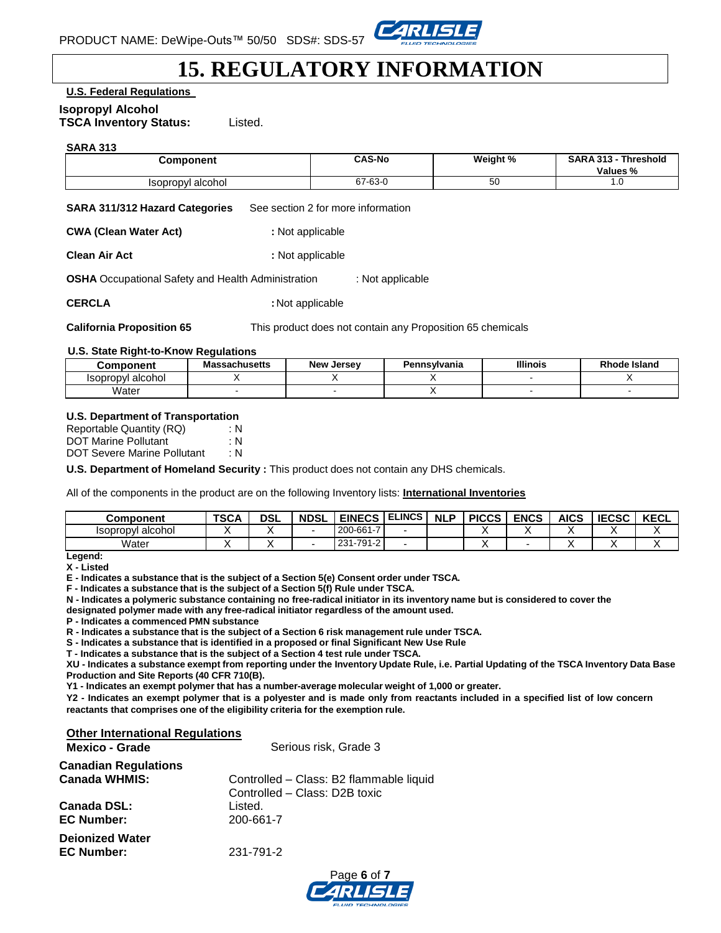

### **15. REGULATORY INFORMATION**

**U.S. Federal Regulations**

#### **Isopropyl Alcohol**

**TSCA Inventory Status:** Listed.

#### **SARA 313**

| <b>Component</b>  | <b>CAS-No</b> | Weight % | <b>SARA 313 -</b><br><b>Threshold</b><br>Values % |
|-------------------|---------------|----------|---------------------------------------------------|
| Isopropyl alcohol | 67-63-0       | აი       | ⊶י                                                |

**SARA 311/312 Hazard Categories** See section 2 for more information

**CWA (Clean Water Act) :** Not applicable

**Clean Air Act : 1999 : Not applicable** 

**OSHA** Occupational Safety and Health Administration : Not applicable

**CERCLA** : Not applicable

**California Proposition 65** This product does not contain any Proposition 65 chemicals

#### **U.S. State Right-to-Know Regulations**

| Component                | Massachusetts | <b>New Jersey</b> | Pennsvlvania | <b>Illinois</b> | <b>Rhode Island</b> |
|--------------------------|---------------|-------------------|--------------|-----------------|---------------------|
| <b>Isopropyl alcohol</b> |               |                   |              |                 |                     |
| Water                    |               |                   |              |                 |                     |

#### **U.S. Department of Transportation**

| Reportable Quantity (RQ)    | : N |
|-----------------------------|-----|
| <b>DOT Marine Pollutant</b> | : N |
| DOT Severe Marine Pollutant | ∶N. |

**U.S. Department of Homeland Security :** This product does not contain any DHS chemicals.

All of the components in the product are on the following Inventory lists: **International Inventories**

| Component         | <b>TSCA</b> | <b>DSL</b> | <b>NDSL</b> | <b>EINECS</b> | <b>ELINCS</b> | <b>NLP</b> | <b>PICCS</b> | <b>ENCS</b> | AICS | <b>IECSC</b> | <b>KECL</b> |
|-------------------|-------------|------------|-------------|---------------|---------------|------------|--------------|-------------|------|--------------|-------------|
| Isopropyl alcohol |             |            |             | 200-661-7     |               |            |              |             |      |              |             |
| Water             |             |            |             | 231-791-2     |               |            |              |             |      |              |             |

**Legend: X - Listed**

**E - Indicates a substance that is the subject of a Section 5(e) Consent order under TSCA.** 

**F - Indicates a substance that is the subject of a Section 5(f) Rule under TSCA.**

**N - Indicates a polymeric substance containing no free-radical initiator in its inventory name but is considered to cover the**

**designated polymer made with any free-radical initiator regardless of the amount used.**

**P - Indicates a commenced PMN substance**

**R - Indicates a substance that is the subject of a Section 6 risk management rule under TSCA.** 

**S - Indicates a substance that is identified in a proposed or final Significant New Use Rule**

**T - Indicates a substance that is the subject of a Section 4 test rule under TSCA.**

XU - Indicates a substance exempt from reporting under the Inventory Update Rule, i.e. Partial Updating of the TSCA Inventory Data Base **Production and Site Reports (40 CFR 710(B).**

**Y1 - Indicates an exempt polymer that has a number-average molecular weight of 1,000 or greater.**

Y2 - Indicates an exempt polymer that is a polyester and is made only from reactants included in a specified list of low concern **reactants that comprises one of the eligibility criteria for the exemption rule.**

#### **Other International Regulations**

| <b>Mexico - Grade</b>       | Serious risk, Grade 3                   |
|-----------------------------|-----------------------------------------|
| <b>Canadian Regulations</b> |                                         |
| <b>Canada WHMIS:</b>        | Controlled - Class: B2 flammable liquid |
|                             | Controlled - Class: D2B toxic           |
| Canada DSL:                 | Listed.                                 |
| <b>EC Number:</b>           | 200-661-7                               |
| <b>Dejonized Water</b>      |                                         |
| <b>EC Number:</b>           | 231-791-2                               |